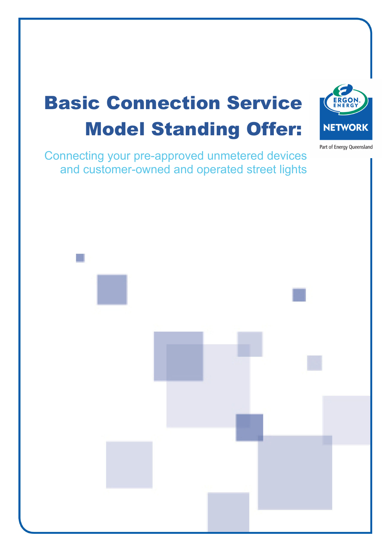# Basic Connection Service Model Standing Offer:

Connecting your pre-approved unmetered devices and customer-owned and operated street lights

Part of Energy Queensland



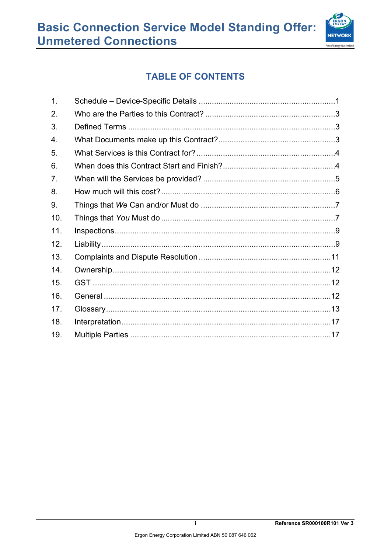

# **TABLE OF CONTENTS**

| $\mathbf{1}$ . |  |
|----------------|--|
| 2.             |  |
| 3.             |  |
| 4.             |  |
| 5.             |  |
| 6.             |  |
| 7.             |  |
| 8.             |  |
| 9.             |  |
| 10.            |  |
| 11.            |  |
| 12.            |  |
| 13.            |  |
| 14.            |  |
| 15.            |  |
| 16.            |  |
| 17.            |  |
| 18.            |  |
| 19.            |  |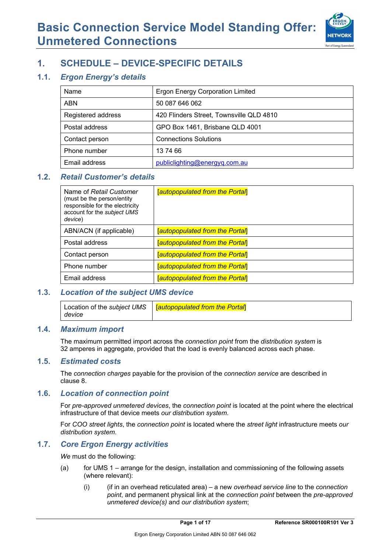

# **1. SCHEDULE – DEVICE-SPECIFIC DETAILS**

### **1.1.** *Ergon Energy's details*

| Name               | <b>Ergon Energy Corporation Limited</b>  |
|--------------------|------------------------------------------|
| <b>ABN</b>         | 50 087 646 062                           |
| Registered address | 420 Flinders Street, Townsville QLD 4810 |
| Postal address     | GPO Box 1461, Brisbane QLD 4001          |
| Contact person     | <b>Connections Solutions</b>             |
| Phone number       | 137466                                   |
| Email address      | publiclighting@energyq.com.au            |

### **1.2.** *Retail Customer's details*

| Name of Retail Customer<br>(must be the person/entity<br>responsible for the electricity<br>account for the subject UMS<br>device) | <b>Tautopopulated from the Portal</b> |
|------------------------------------------------------------------------------------------------------------------------------------|---------------------------------------|
| ABN/ACN (if applicable)                                                                                                            | <b>Tautopopulated from the Portal</b> |
| Postal address                                                                                                                     | [autopopulated from the Portal]       |
| Contact person                                                                                                                     | <b>Tautopopulated from the Portal</b> |
| Phone number                                                                                                                       | <b>Tautopopulated from the Portal</b> |
| Email address                                                                                                                      | <b>Tautopopulated from the Portal</b> |

### **1.3.** *Location of the subject UMS device*

|        | Location of the subject UMS   <b>[autopopulated from the Portal]</b> |
|--------|----------------------------------------------------------------------|
| device |                                                                      |

#### **1.4.** *Maximum import*

The maximum permitted import across the *connection point* from the *distribution system* is 32 amperes in aggregate, provided that the load is evenly balanced across each phase.

#### **1.5.** *Estimated costs*

The *connection charges* payable for the provision of the *connection service* are described in clause 8.

#### **1.6.** *Location of connection point*

For *pre-approved unmetered devices*, the *connection point* is located at the point where the electrical infrastructure of that device meets *our distribution system*.

For *COO street lights*, the *connection point* is located where the *street light* infrastructure meets *our distribution system*.

#### **1.7.** *Core Ergon Energy activities*

*We* must do the following:

- (a) for UMS 1 arrange for the design, installation and commissioning of the following assets (where relevant):
	- (i) (if in an overhead reticulated area) a new *overhead service line* to the *connection point*, and permanent physical link at the *connection point* between the *pre-approved unmetered device(s)* and *our distribution system*;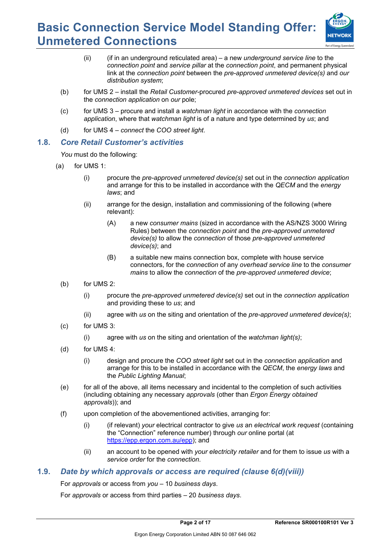

- (ii) (if in an underground reticulated area) a new *underground service line* to the *connection point* and *service pillar* at the *connection point*, and permanent physical link at the *connection point* between the *pre-approved unmetered device(s)* and *our distribution system*;
- (b) for UMS 2 install the *Retail Customer*-procured *pre-approved unmetered devices* set out in the *connection application* on *our* pole;
- (c) for UMS 3 procure and install a *watchman light* in accordance with the *connection application*, where that *watchman light* is of a nature and type determined by *us*; and
- (d) for UMS 4 *connect* the *COO street light*.

#### **1.8.** *Core Retail Customer's activities*

*You* must do the following:

- (a) for UMS 1:
	- (i) procure the *pre-approved unmetered device(s)* set out in the *connection application*  and arrange for this to be installed in accordance with the *QECM* and the *energy laws*; and
	- (ii) arrange for the design, installation and commissioning of the following (where relevant):
		- (A) a new *consumer mains* (sized in accordance with the AS/NZS 3000 Wiring Rules) between the *connection point* and the *pre-approved unmetered device(s)* to allow the *connection* of those *pre-approved unmetered device(s)*; and
		- (B) a suitable new mains connection box, complete with house service connectors, for the *connection* of any *overhead service line* to the *consumer mains* to allow the *connection* of the *pre-approved unmetered device*;
	- (b) for UMS 2:
		- (i) procure the *pre-approved unmetered device(s)* set out in the *connection application* and providing these to *us*; and
		- (ii) agree with *us* on the siting and orientation of the *pre-approved unmetered device(s)*;
	- (c) for UMS 3:
		- (i) agree with *us* on the siting and orientation of the *watchman light(s)*;
	- (d) for UMS 4:
		- (i) design and procure the *COO street light* set out in the *connection application* and arrange for this to be installed in accordance with the *QECM*, the *energy laws* and the *Public Lighting Manual*;
	- (e) for all of the above, all items necessary and incidental to the completion of such activities (including obtaining any necessary *approvals* (other than *Ergon Energy obtained approvals*)); and
	- (f) upon completion of the abovementioned activities, arranging for:
		- (i) (if relevant) *your* electrical contractor to give *us* an *electrical work request* (containing the "Connection" reference number) through *our* online portal (at https://epp.ergon.com.au/epp); and
		- (ii) an account to be opened with *your electricity retailer* and for them to issue *us* with a *service order* for the *connection*.

### **1.9.** *Date by which approvals or access are required (clause 6(d)(viii))*

For *approvals* or access from *you* – 10 *business days*.

For *approvals* or access from third parties – 20 *business days*.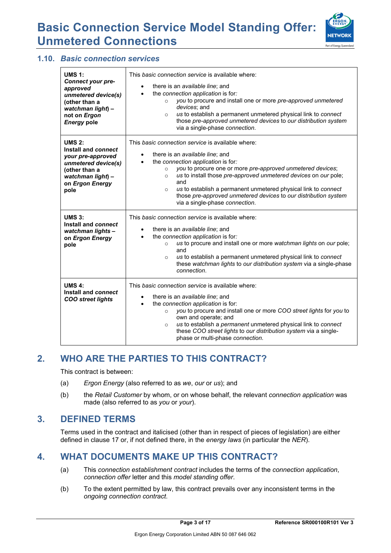

### **1.10.** *Basic connection services*

| <b>UMS 1:</b><br>Connect your pre-<br>approved<br>unmetered device(s)<br>(other than a<br>watchman light) -<br>not on Ergon<br><b>Energy pole</b> | This basic connection service is available where:<br>there is an <i>available line</i> ; and<br>$\bullet$<br>the connection application is for:<br>you to procure and install one or more pre-approved unmetered<br>$\circ$<br>devices; and<br>us to establish a permanent unmetered physical link to connect<br>$\Omega$<br>those pre-approved unmetered devices to our distribution system<br>via a single-phase connection.                                              |
|---------------------------------------------------------------------------------------------------------------------------------------------------|-----------------------------------------------------------------------------------------------------------------------------------------------------------------------------------------------------------------------------------------------------------------------------------------------------------------------------------------------------------------------------------------------------------------------------------------------------------------------------|
| <b>UMS 2:</b><br>Install and connect<br>your pre-approved<br>unmetered device(s)<br>(other than a<br>watchman light) -<br>on Ergon Energy<br>pole | This basic connection service is available where:<br>there is an available line; and<br>the connection application is for:<br>you to procure one or more pre-approved unmetered devices;<br>$\circ$<br>us to install those pre-approved unmetered devices on our pole;<br>$\circ$<br>and<br>us to establish a permanent unmetered physical link to connect<br>$\Omega$<br>those pre-approved unmetered devices to our distribution system<br>via a single-phase connection. |
| <b>UMS 3:</b><br>Install and connect<br>watchman lights-<br>on Ergon Energy<br>pole                                                               | This basic connection service is available where:<br>there is an available line; and<br>the connection application is for:<br>us to procure and install one or more watchman lights on our pole;<br>$\circ$<br>and<br>us to establish a permanent unmetered physical link to connect<br>$\circ$<br>these watchman lights to our distribution system via a single-phase<br>connection.                                                                                       |
| UMS $4$ :<br>Install and connect<br><b>COO street lights</b>                                                                                      | This basic connection service is available where:<br>there is an available line; and<br>the connection application is for:<br>you to procure and install one or more COO street lights for you to<br>$\circ$<br>own and operate; and<br>us to establish a permanent unmetered physical link to connect<br>$\circ$<br>these COO street lights to our distribution system via a single-<br>phase or multi-phase connection.                                                   |

# **2. WHO ARE THE PARTIES TO THIS CONTRACT?**

This contract is between:

- (a) *Ergon Energy* (also referred to as *we*, *our* or *us*); and
- (b) the *Retail Customer* by whom, or on whose behalf, the relevant *connection application* was made (also referred to as *you* or *your*).

### **3. DEFINED TERMS**

Terms used in the contract and italicised (other than in respect of pieces of legislation) are either defined in clause 17 or, if not defined there, in the *energy laws* (in particular the *NER*).

## **4. WHAT DOCUMENTS MAKE UP THIS CONTRACT?**

- (a) This *connection establishment contract* includes the terms of the *connection application*, *connection offer* letter and this *model standing offer*.
- (b) To the extent permitted by law, this contract prevails over any inconsistent terms in the *ongoing connection contract*.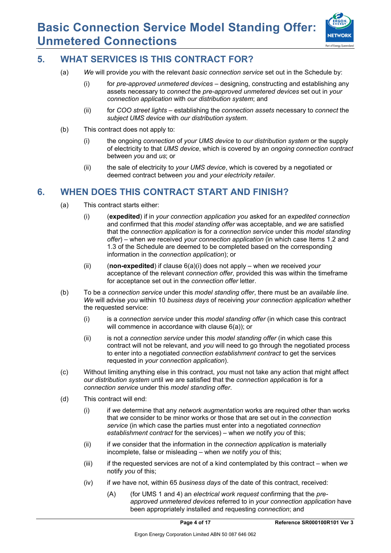

### **5. WHAT SERVICES IS THIS CONTRACT FOR?**

- (a) *We* will provide *you* with the relevant *basic connection service* set out in the Schedule by:
	- (i) for *pre-approved unmetered devices* designing, constructing and establishing any assets necessary to *connect* the *pre-approved unmetered devices* set out in *your connection application* with *our distribution system*; and
	- (ii) for *COO street lights* establishing the *connection assets* necessary to *connect* the *subject UMS device* with *our distribution system*.
- (b) This contract does not apply to:
	- (i) the ongoing *connection* of *your UMS device* to *our distribution system* or the supply of electricity to that *UMS device*, which is covered by an *ongoing connection contract* between *you* and *us*; or
	- (ii) the sale of electricity to *your UMS device*, which is covered by a negotiated or deemed contract between *you* and *your electricity retailer*.

## **6. WHEN DOES THIS CONTRACT START AND FINISH?**

- (a) This contract starts either:
	- (i) (**expedited**) if in *your connection application you* asked for an *expedited connection*  and confirmed that this *model standing offer* was acceptable, and *we* are satisfied that the *connection application* is for a *connection service* under this *model standing offer*) – when *we* received *your connection application* (in which case Items 1.2 and 1.3 of the Schedule are deemed to be completed based on the corresponding information in the *connection application*); or
	- (ii) (**non-expedited**) if clause 6(a)(i) does not apply when *we* received *your* acceptance of the relevant *connection offer*, provided this was within the timeframe for acceptance set out in the *connection offer* letter.
- (b) To be a *connection service* under this *model standing offer*, there must be an *available line*. *We* will advise *you* within 10 *business days* of receiving *your connection application* whether the requested service:
	- (i) is a *connection service* under this *model standing offer* (in which case this contract will commence in accordance with clause 6(a)); or
	- (ii) is not a *connection service* under this *model standing offer* (in which case this contract will not be relevant, and *you* will need to go through the negotiated process to enter into a negotiated *connection establishment contract* to get the services requested in *your connection application*).
- (c) Without limiting anything else in this contract, *you* must not take any action that might affect *our distribution system* until *we* are satisfied that the *connection application* is for a *connection service* under this *model standing offer*.
- (d) This contract will end:
	- (i) if *we* determine that any *network augmentation* works are required other than works that *we* consider to be minor works or those that are set out in the *connection service* (in which case the parties must enter into a negotiated *connection establishment contract* for the services) – when *we* notify *you* of this;
	- (ii) if *we* consider that the information in the *connection application* is materially incomplete, false or misleading – when *we* notify *you* of this;
	- (iii) if the requested services are not of a kind contemplated by this contract when *we* notify *you* of this;
	- (iv) if *we* have not, within 65 *business days* of the date of this contract, received:
		- (A) (for UMS 1 and 4) an *electrical work request* confirming that the *preapproved unmetered devices* referred to in *your connection application* have been appropriately installed and requesting *connection*; and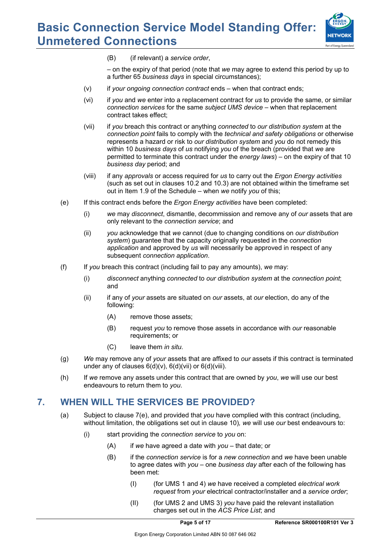

(B) (if relevant) a *service order*,

– on the expiry of that period (note that *we* may agree to extend this period by up to a further 65 *business days* in special circumstances);

- (v) if *your ongoing connection contract* ends when that contract ends;
- (vi) if *you* and *we* enter into a replacement contract for *us* to provide the same, or similar *connection services* for the same *subject UMS device* – when that replacement contract takes effect;
- (vii) if *you* breach this contract or anything *connected* to *our distribution system* at the *connection point* fails to comply with the *technical and safety obligations* or otherwise represents a hazard or risk to *our distribution system* and *you* do not remedy this within 10 *business days* of *us* notifying *you* of the breach (provided that *we* are permitted to terminate this contract under the *energy laws*) – on the expiry of that 10 *business day* period; and
- (viii) if any *approvals* or access required for *us* to carry out the *Ergon Energy activities* (such as set out in clauses 10.2 and 10.3) are not obtained within the timeframe set out in Item 1.9 of the Schedule – when *we* notify *you* of this;
- (e) If this contract ends before the *Ergon Energy activities* have been completed:
	- (i) *we* may *disconnect*, dismantle, decommission and remove any of *our* assets that are only relevant to the *connection service*; and
	- (ii) *you* acknowledge that *we* cannot (due to changing conditions on *our distribution system*) guarantee that the capacity originally requested in the *connection application* and approved by *us* will necessarily be approved in respect of any subsequent *connection application*.
- (f) If *you* breach this contract (including fail to pay any amounts), *we* may:
	- (i) *disconnect* anything *connected* to *our distribution system* at the *connection point*; and
	- (ii) if any of *your* assets are situated on *our* assets, at *our* election, do any of the following:
		- (A) remove those assets;
		- (B) request *you* to remove those assets in accordance with *our* reasonable requirements; or
		- (C) leave them *in situ*.
- (g) *We* may remove any of *your* assets that are affixed to *our* assets if this contract is terminated under any of clauses  $6(d)(v)$ ,  $6(d)(vii)$  or  $6(d)(viii)$ .
- (h) If *we* remove any assets under this contract that are owned by *you*, *we* will use our best endeavours to return them to *you*.

## **7. WHEN WILL THE SERVICES BE PROVIDED?**

- (a) Subject to clause 7(e), and provided that *you* have complied with this contract (including, without limitation, the obligations set out in clause 10)*, we* will use *our* best endeavours to:
	- (i) start providing the *connection service* to *you* on:
		- (A) if *we* have agreed a date with *you* that date; or
		- (B) if the *connection service* is for a *new connection* and *we* have been unable to agree dates with *you* – one *business day* after each of the following has been met:
			- (I) (for UMS 1 and 4) *we* have received a completed *electrical work request* from *your* electrical contractor/installer and a *service order*;
			- (II) (for UMS 2 and UMS 3) *you* have paid the relevant installation charges set out in the *ACS Price List*; and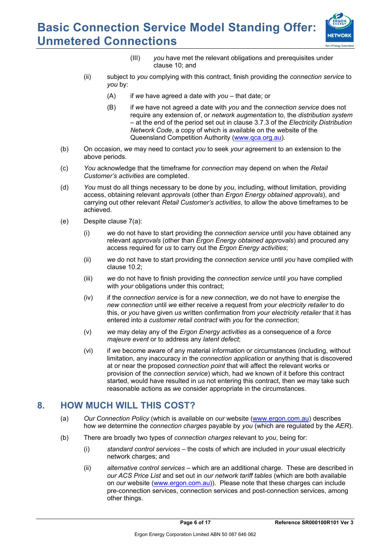

- (III) *you* have met the relevant obligations and prerequisites under clause 10; and
- (ii) subject to *you* complying with this contract, finish providing the *connection service* to *you* by:
	- (A) if *we* have agreed a date with *you* that date; or
	- (B) if *we* have not agreed a date with *you* and the *connection service* does not require any extension of, or *network augmentation* to, the *distribution system*  – at the end of the period set out in clause 3.7.3 of the *Electricity Distribution Network Code*, a copy of which is available on the website of the Queensland Competition Authority (www.qca.org.au).
- (b) On occasion, *we* may need to contact *you* to seek *your* agreement to an extension to the above periods*.*
- (c) *You* acknowledge that the timeframe for *connection* may depend on when the *Retail Customer's activities* are completed.
- (d) *You* must do all things necessary to be done by *you*, including, without limitation, providing access, obtaining relevant *approvals* (other than *Ergon Energy obtained approvals*), and carrying out other relevant *Retail Customer's activities*, to allow the above timeframes to be achieved.
- (e) Despite clause 7(a):
	- (i) *we* do not have to start providing the *connection service* until *you* have obtained any relevant *approvals* (other than *Ergon Energy obtained approvals*) and procured any access required for *us* to carry out the *Ergon Energy activities*;
	- (ii) *we* do not have to start providing the *connection service* until *you* have complied with clause 10.2;
	- (iii) *we* do not have to finish providing the *connection service* until *you* have complied with *your* obligations under this contract;
	- (iv) if the *connection service* is for a *new connection*, *we* do not have to *energise* the *new connection* until *we* either receive a request from *your electricity retailer* to do this, or *you* have given *us* written confirmation from *your electricity retailer* that it has entered into a *customer retail contract* with *you* for the *connection*;
	- (v) *we* may delay any of the *Ergon Energy activities* as a consequence of a *force majeure event* or to address any *latent defect*;
	- (vi) if *we* become aware of any material information or circumstances (including, without limitation, any inaccuracy in the *connection application* or anything that is discovered at or near the proposed *connection point* that will affect the relevant works or provision of the *connection service*) which, had *we* known of it before this contract started, would have resulted in *us* not entering this contract, then *we* may take such reasonable actions as *we* consider appropriate in the circumstances.

## **8. HOW MUCH WILL THIS COST?**

- (a) *Our Connection Policy* (which is available on *our* website (www.ergon.com.au) describes how *we* determine the *connection charges* payable by *you* (which are regulated by the *AER*).
- (b) There are broadly two types of *connection charges* relevant to *you*, being for:
	- (i) *standard control services* the costs of which are included in *your* usual electricity network charges; and
	- (ii) *alternative control services* which are an additional charge. These are described in *our ACS Price List* and set out in *our network tariff tables* (which are both available on *our* website (www.ergon.com.au)). Please note that these charges can include pre-connection services, connection services and post-connection services, among other things.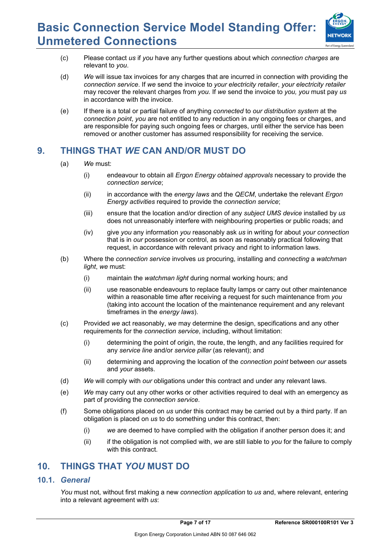

- (c) Please contact *us* if *you* have any further questions about which *connection charges* are relevant to *you*.
- (d) *We* will issue tax invoices for any charges that are incurred in connection with providing the *connection service*. If *we* send the invoice to *your electricity retailer*, *your electricity retailer* may recover the relevant charges from *you*. If *we* send the invoice to *you, you* must pay *us* in accordance with the invoice.
- (e) If there is a total or partial failure of anything *connected* to *our distribution system* at the *connection point*, *you* are not entitled to any reduction in any ongoing fees or charges, and are responsible for paying such ongoing fees or charges, until either the service has been removed or another customer has assumed responsibility for receiving the service.

## **9. THINGS THAT** *WE* **CAN AND/OR MUST DO**

- (a) *We* must:
	- (i) endeavour to obtain all *Ergon Energy obtained approvals* necessary to provide the *connection service*;
	- (ii) in accordance with the *energy laws* and the *QECM*, undertake the relevant *Ergon Energy activities* required to provide the *connection service*;
	- (iii) ensure that the location and/or direction of any *subject UMS device* installed by *us*  does not unreasonably interfere with neighbouring properties or public roads; and
	- (iv) give *you* any information *you* reasonably ask *us* in writing for about *your connection* that is in *our* possession or control, as soon as reasonably practical following that request, in accordance with relevant privacy and right to information laws.
- (b) Where the *connection service* involves *us* procuring, installing and *connecting* a *watchman light*, *we* must:
	- (i) maintain the *watchman light* during normal working hours; and
	- (ii) use reasonable endeavours to replace faulty lamps or carry out other maintenance within a reasonable time after receiving a request for such maintenance from *you*  (taking into account the location of the maintenance requirement and any relevant timeframes in the *energy laws*).
- (c) Provided *we* act reasonably, *we* may determine the design, specifications and any other requirements for the *connection service*, including, without limitation:
	- (i) determining the point of origin, the route, the length, and any facilities required for any *service line* and/or *service pillar* (as relevant); and
	- (ii) determining and approving the location of the *connection point* between *our* assets and *your* assets.
- (d) *We* will comply with *our* obligations under this contract and under any relevant laws.
- (e) *We* may carry out any other works or other activities required to deal with an emergency as part of providing the *connection service*.
- (f) Some obligations placed on *us* under this contract may be carried out by a third party. If an obligation is placed on *us* to do something under this contract, then:
	- (i) *we* are deemed to have complied with the obligation if another person does it; and
	- (ii) if the obligation is not complied with, *we* are still liable to *you* for the failure to comply with this contract.

## **10. THINGS THAT** *YOU* **MUST DO**

### **10.1.** *General*

*You* must not, without first making a new *connection application* to *us* and, where relevant, entering into a relevant agreement with *us*: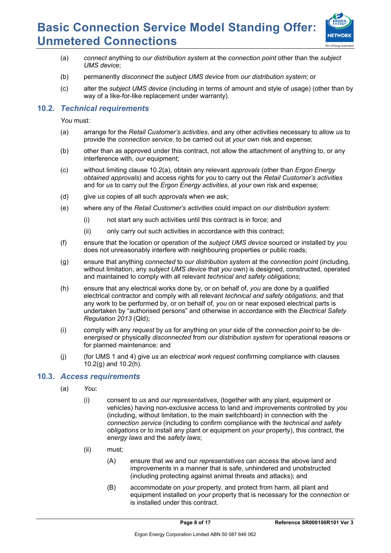

- (a) *connect* anything to *our distribution system* at the *connection point* other than the *subject UMS device*;
- (b) permanently *disconnect* the *subject UMS device* from *our distribution system*; or
- (c) alter the *subject UMS device* (including in terms of amount and style of usage) (other than by way of a like-for-like replacement under warranty).

### **10.2.** *Technical requirements*

*You* must:

- (a) arrange for the *Retail Customer's activities*, and any other activities necessary to allow *us* to provide the *connection service*, to be carried out at *your* own risk and expense;
- (b) other than as approved under this contract, not allow the attachment of anything to, or any interference with, *our* equipment;
- (c) without limiting clause 10.2(a), obtain any relevant *approvals* (other than *Ergon Energy obtained approvals*) and access rights for *you* to carry out the *Retail Customer's activities* and for *us* to carry out the *Ergon Energy activities*, at *your* own risk and expense;
- (d) give *us* copies of all such *approvals* when *we* ask;
- (e) where any of the *Retail Customer's activities* could impact on *our distribution system*:
	- (i) not start any such activities until this contract is in force; and
	- (ii) only carry out such activities in accordance with this contract;
- (f) ensure that the location or operation of the *subject UMS device* sourced or installed by *you*  does not unreasonably interfere with neighbouring properties or public roads;
- (g) ensure that anything *connected* to *our distribution system* at the *connection point* (including, without limitation, any *subject UMS device* that *you* own) is designed, constructed, operated and maintained to comply with all relevant *technical and safety obligations*;
- (h) ensure that any electrical works done by, or on behalf of, *you* are done by a qualified electrical contractor and comply with all relevant *technical and safety obligations*, and that any work to be performed by, or on behalf of, *you* on or near exposed electrical parts is undertaken by "authorised persons" and otherwise in accordance with the *Electrical Safety Regulation 2013* (Qld);
- (i) comply with any *request* by *us* for anything on *your* side of the *connection point* to be *deenergised* or physically *disconnected* from *our distribution system* for operational reasons or for planned maintenance; and
- (j) (for UMS 1 and 4) give *us* an *electrical work request* confirming compliance with clauses  $10.2(q)$  and  $10.2(h)$ .

#### **10.3.** *Access requirements*

- (a) *You*:
	- (i) consent to *us* and *our representatives*, (together with any plant, equipment or vehicles) having non-exclusive access to land and improvements controlled by *you* (including, without limitation, to the main switchboard) in connection with the *connection service* (including to confirm compliance with the *technical and safety obligations* or to install any plant or equipment on *your* property), this contract, the *energy laws* and the *safety laws*;
	- (ii) must;
		- (A) ensure that *we* and our *representatives* can access the above land and improvements in a manner that is safe, unhindered and unobstructed (including protecting against animal threats and attacks); and
		- (B) accommodate on *your* property, and protect from harm, all plant and equipment installed on *your* property that is necessary for the *connection* or is installed under this contract.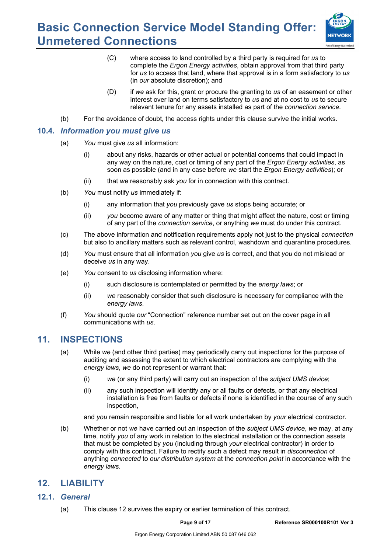

- (C) where access to land controlled by a third party is required for *us* to complete the *Ergon Energy activities*, obtain approval from that third party for *us* to access that land, where that approval is in a form satisfactory to *us*  (in *our* absolute discretion); and
- (D) if *we* ask for this, grant or procure the granting to *us* of an easement or other interest over land on terms satisfactory to *us* and at no cost to *us* to secure relevant tenure for any assets installed as part of the *connection service*.
- (b) For the avoidance of doubt, the access rights under this clause survive the initial works.

#### **10.4.** *Information you must give us*

- (a) *You* must give *us* all information:
	- (i) about any risks, hazards or other actual or potential concerns that could impact in any way on the nature, cost or timing of any part of the *Ergon Energy activities*, as soon as possible (and in any case before *we* start the *Ergon Energy activities*); or
	- (ii) that *we* reasonably ask *you* for in connection with this contract.
- (b) *You* must notify *us* immediately if:
	- (i) any information that *you* previously gave *us* stops being accurate; or
	- (ii) *you* become aware of any matter or thing that might affect the nature, cost or timing of any part of the *connection service*, or anything *we* must do under this contract.
- (c) The above information and notification requirements apply not just to the physical *connection*  but also to ancillary matters such as relevant control, washdown and quarantine procedures.
- (d) *You* must ensure that all information *you* give *us* is correct, and that *you* do not mislead or deceive *us* in any way.
- (e) *You* consent to *us* disclosing information where:
	- (i) such disclosure is contemplated or permitted by the *energy laws*; or
	- (ii) *we* reasonably consider that such disclosure is necessary for compliance with the *energy laws*.
- (f) *You* should quote *our* "Connection" reference number set out on the cover page in all communications with *us*.

### **11. INSPECTIONS**

- (a) While *we* (and other third parties) may periodically carry out inspections for the purpose of auditing and assessing the extent to which electrical contractors are complying with the *energy laws*, *we* do not represent or warrant that:
	- (i) *we* (or any third party) will carry out an inspection of the *subject UMS device*;
	- (ii) any such inspection will identify any or all faults or defects, or that any electrical installation is free from faults or defects if none is identified in the course of any such inspection,

and *you* remain responsible and liable for all work undertaken by *your* electrical contractor.

(b) Whether or not *we* have carried out an inspection of the *subject UMS device*, *we* may, at any time, notify *you* of any work in relation to the electrical installation or the connection assets that must be completed by *you* (including through *your* electrical contractor) in order to comply with this contract. Failure to rectify such a defect may result in *disconnection* of anything *connected* to *our distribution system* at the *connection point* in accordance with the *energy laws*.

### **12. LIABILITY**

- **12.1.** *General* 
	- (a) This clause 12 survives the expiry or earlier termination of this contract.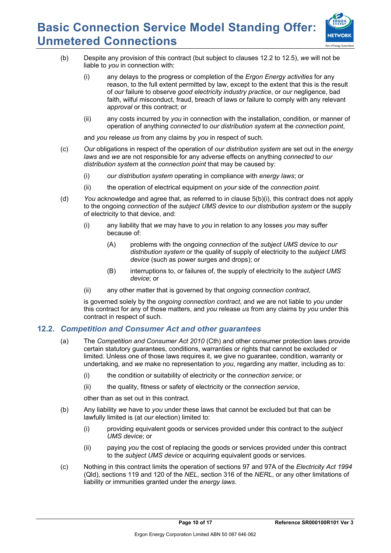

- (b) Despite any provision of this contract (but subject to clauses 12.2 to 12.5), *we* will not be liable to *you* in connection with:
	- (i) any delays to the progress or completion of the *Ergon Energy activities* for any reason, to the full extent permitted by law, except to the extent that this is the result of *our* failure to observe *good electricity industry practice*, or *our* negligence, bad faith, wilful misconduct, fraud, breach of laws or failure to comply with any relevant *approval* or this contract; or
	- (ii) any costs incurred by *you* in connection with the installation, condition, or manner of operation of anything *connected* to *our distribution system* at the *connection point*,

and *you* release *us* from any claims by *you* in respect of such.

- (c) *Our* obligations in respect of the operation of *our distribution system* are set out in the *energy laws* and *we* are not responsible for any adverse effects on anything *connected* to *our distribution system* at the *connection point* that may be caused by:
	- (i) *our distribution system* operating in compliance with *energy laws*; or
	- (ii) the operation of electrical equipment on *your* side of the *connection point*.
- (d) *You* acknowledge and agree that, as referred to in clause 5(b)(i), this contract does not apply to the ongoing *connection* of the *subject UMS device* to *our distribution system* or the supply of electricity to that device, and:
	- (i) any liability that *we* may have to *you* in relation to any losses *you* may suffer because of:
		- (A) problems with the ongoing *connection* of the *subject UMS device* to *our distribution system* or the quality of supply of electricity to the *subject UMS device* (such as power surges and drops); or
		- (B) interruptions to, or failures of, the supply of electricity to the *subject UMS device*; or
	- (ii) any other matter that is governed by that *ongoing connection contract*,

is governed solely by the *ongoing connection contract*, and *we* are not liable to *you* under this contract for any of those matters, and *you* release *us* from any claims by *you* under this contract in respect of such.

#### **12.2.** *Competition and Consumer Act and other guarantees*

- (a) The *Competition and Consumer Act 2010* (Cth) and other consumer protection laws provide certain statutory guarantees, conditions, warranties or rights that cannot be excluded or limited. Unless one of those laws requires it, *we* give no guarantee, condition, warranty or undertaking, and *we* make no representation to *you*, regarding any matter, including as to:
	- (i) the condition or suitability of electricity or the *connection service*; or
	- (ii) the quality, fitness or safety of electricity or the *connection service*,

other than as set out in this contract.

- (b) Any liability *we* have to *you* under these laws that cannot be excluded but that can be lawfully limited is (at *our* election) limited to:
	- (i) providing equivalent goods or services provided under this contract to the *subject UMS device*; or
	- (ii) paying *you* the cost of replacing the goods or services provided under this contract to the *subject UMS device* or acquiring equivalent goods or services.
- (c) Nothing in this contract limits the operation of sections 97 and 97A of the *Electricity Act 1994*  (Qld), sections 119 and 120 of the *NEL*, section 316 of the *NERL*, or any other limitations of liability or immunities granted under the *energy laws*.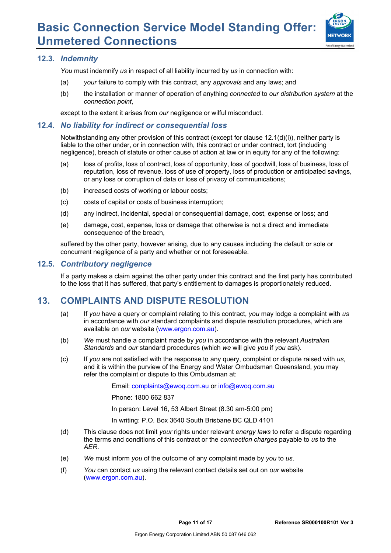

### **12.3.** *Indemnity*

*You* must indemnify *us* in respect of all liability incurred by *us* in connection with:

- (a) *your* failure to comply with this contract, any *approvals* and any laws; and
- (b) the installation or manner of operation of anything *connected* to *our distribution system* at the *connection point*,

except to the extent it arises from *our* negligence or wilful misconduct.

#### **12.4.** *No liability for indirect or consequential loss*

Notwithstanding any other provision of this contract (except for clause 12.1(d)(i)), neither party is liable to the other under, or in connection with, this contract or under contract, tort (including negligence), breach of statute or other cause of action at law or in equity for any of the following:

- (a) loss of profits, loss of contract, loss of opportunity, loss of goodwill, loss of business, loss of reputation, loss of revenue, loss of use of property, loss of production or anticipated savings, or any loss or corruption of data or loss of privacy of communications;
- (b) increased costs of working or labour costs;
- (c) costs of capital or costs of business interruption;
- (d) any indirect, incidental, special or consequential damage, cost, expense or loss; and
- (e) damage, cost, expense, loss or damage that otherwise is not a direct and immediate consequence of the breach,

suffered by the other party, however arising, due to any causes including the default or sole or concurrent negligence of a party and whether or not foreseeable.

#### **12.5.** *Contributory negligence*

If a party makes a claim against the other party under this contract and the first party has contributed to the loss that it has suffered, that party's entitlement to damages is proportionately reduced.

## **13. COMPLAINTS AND DISPUTE RESOLUTION**

- (a) If *you* have a query or complaint relating to this contract, *you* may lodge a complaint with *us* in accordance with *our* standard complaints and dispute resolution procedures, which are available on *our* website (www.ergon.com.au).
- (b) *We* must handle a complaint made by *you* in accordance with the relevant *Australian Standards* and *our* standard procedures (which *we* will give *you* if *you* ask).
- (c) If *you* are not satisfied with the response to any query, complaint or dispute raised with *us*, and it is within the purview of the Energy and Water Ombudsman Queensland, *you* may refer the complaint or dispute to this Ombudsman at:

Email: complaints@ewoq.com.au or info@ewoq.com.au

Phone: 1800 662 837

In person: Level 16, 53 Albert Street (8.30 am-5:00 pm)

In writing: P.O. Box 3640 South Brisbane BC QLD 4101

- (d) This clause does not limit *your* rights under relevant *energy laws* to refer a dispute regarding the terms and conditions of this contract or the *connection charges* payable to *us* to the *AER*.
- (e) *We* must inform *you* of the outcome of any complaint made by *you* to *us*.
- (f) *You* can contact *us* using the relevant contact details set out on *our* website (www.ergon.com.au).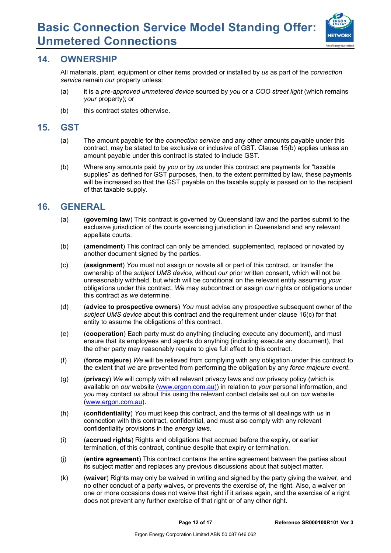

### **14. OWNERSHIP**

All materials, plant, equipment or other items provided or installed by *us* as part of the *connection service* remain *our* property unless:

- (a) it is a *pre-approved unmetered device* sourced by *you* or a *COO street light* (which remains *your* property); or
- (b) this contract states otherwise.

### **15. GST**

- (a) The amount payable for the *connection service* and any other amounts payable under this contract, may be stated to be exclusive or inclusive of GST. Clause 15(b) applies unless an amount payable under this contract is stated to include GST.
- (b) Where any amounts paid by *you* or by *us* under this contract are payments for "taxable supplies" as defined for GST purposes, then, to the extent permitted by law, these payments will be increased so that the GST payable on the taxable supply is passed on to the recipient of that taxable supply.

### **16. GENERAL**

- (a) (**governing law**) This contract is governed by Queensland law and the parties submit to the exclusive jurisdiction of the courts exercising jurisdiction in Queensland and any relevant appellate courts.
- (b) (**amendment**) This contract can only be amended, supplemented, replaced or novated by another document signed by the parties.
- (c) (**assignment**) *You* must not assign or novate all or part of this contract, or transfer the ownership of the *subject UMS device*, without *our* prior written consent, which will not be unreasonably withheld, but which will be conditional on the relevant entity assuming *your* obligations under this contract. *We* may subcontract or assign *our* rights or obligations under this contract as *we* determine.
- (d) (**advice to prospective owners**) *You* must advise any prospective subsequent owner of the *subject UMS device* about this contract and the requirement under clause 16(c) for that entity to assume the obligations of this contract.
- (e) (**cooperation**) Each party must do anything (including execute any document), and must ensure that its employees and agents do anything (including execute any document), that the other party may reasonably require to give full effect to this contract.
- (f) (**force majeure**) *We* will be relieved from complying with any obligation under this contract to the extent that *we* are prevented from performing the obligation by any *force majeure event*.
- (g) (**privacy**) *We* will comply with all relevant privacy laws and *our* privacy policy (which is available on *our* website (www.ergon.com.au)) in relation to *your* personal information, and *you* may contact *us* about this using the relevant contact details set out on *our* website (www.ergon.com.au).
- (h) (**confidentiality**) *You* must keep this contract, and the terms of all dealings with *us* in connection with this contract, confidential, and must also comply with any relevant confidentiality provisions in the *energy laws*.
- (i) (**accrued rights**) Rights and obligations that accrued before the expiry, or earlier termination, of this contract, continue despite that expiry or termination.
- (j) (**entire agreement**) This contract contains the entire agreement between the parties about its subject matter and replaces any previous discussions about that subject matter.
- (k) (**waiver**) Rights may only be waived in writing and signed by the party giving the waiver, and no other conduct of a party waives, or prevents the exercise of, the right. Also, a waiver on one or more occasions does not waive that right if it arises again, and the exercise of a right does not prevent any further exercise of that right or of any other right.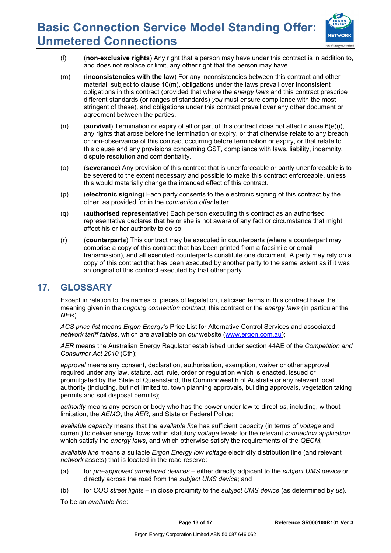

- (l) (**non-exclusive rights**) Any right that a person may have under this contract is in addition to, and does not replace or limit, any other right that the person may have.
- (m) (**inconsistencies with the law**) For any inconsistencies between this contract and other material, subject to clause 16(m), obligations under the laws prevail over inconsistent obligations in this contract (provided that where the *energy laws* and this contract prescribe different standards (or ranges of standards) *you* must ensure compliance with the most stringent of these), and obligations under this contract prevail over any other document or agreement between the parties.
- (n) (**survival**) Termination or expiry of all or part of this contract does not affect clause 6(e)(i), any rights that arose before the termination or expiry, or that otherwise relate to any breach or non-observance of this contract occurring before termination or expiry, or that relate to this clause and any provisions concerning GST, compliance with laws, liability, indemnity, dispute resolution and confidentiality.
- (o) (**severance**) Any provision of this contract that is unenforceable or partly unenforceable is to be severed to the extent necessary and possible to make this contract enforceable, unless this would materially change the intended effect of this contract.
- (p) (**electronic signing**) Each party consents to the electronic signing of this contract by the other, as provided for in the *connection offer* letter.
- (q) (**authorised representative**) Each person executing this contract as an authorised representative declares that he or she is not aware of any fact or circumstance that might affect his or her authority to do so.
- (r) (**counterparts**) This contract may be executed in counterparts (where a counterpart may comprise a copy of this contract that has been printed from a facsimile or email transmission), and all executed counterparts constitute one document. A party may rely on a copy of this contract that has been executed by another party to the same extent as if it was an original of this contract executed by that other party.

### **17. GLOSSARY**

Except in relation to the names of pieces of legislation, italicised terms in this contract have the meaning given in the *ongoing connection contract*, this contract or the *energy laws* (in particular the *NER*).

*ACS price list* means *Ergon Energy's* Price List for Alternative Control Services and associated *network tariff tables*, which are available on *our* website (www.ergon.com.au);

*AER* means the Australian Energy Regulator established under section 44AE of the *Competition and Consumer Act 2010* (Cth);

*approval* means any consent, declaration, authorisation, exemption, waiver or other approval required under any law, statute, act, rule, order or regulation which is enacted, issued or promulgated by the State of Queensland, the Commonwealth of Australia or any relevant local authority (including, but not limited to, town planning approvals, building approvals, vegetation taking permits and soil disposal permits);

*authority* means any person or body who has the power under law to direct *us*, including, without limitation, the *AEMO*, the *AER*, and State or Federal Police;

*available capacity* means that the *available line* has sufficient capacity (in terms of *voltage* and current) to deliver energy flows within statutory *voltage* levels for the relevant *connection application* which satisfy the *energy laws*, and which otherwise satisfy the requirements of the *QECM*;

*available line* means a suitable *Ergon Energy low voltage* electricity distribution line (and relevant *network* assets) that is located in the road reserve:

- (a) for *pre-approved unmetered devices* either directly adjacent to the *subject UMS device* or directly across the road from the *subject UMS device*; and
- (b) for *COO street lights* in close proximity to the *subject UMS device* (as determined by *us*).

To be an *available line*: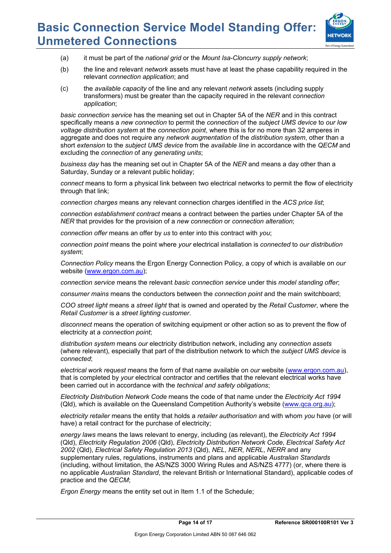

- (a) it must be part of the *national grid* or the *Mount Isa-Cloncurry supply network*;
- (b) the line and relevant *network* assets must have at least the phase capability required in the relevant *connection application*; and
- (c) the *available capacity* of the line and any relevant *network* assets (including supply transformers) must be greater than the capacity required in the relevant *connection application*;

*basic connection service* has the meaning set out in Chapter 5A of the *NER* and in this contract specifically means a *new connection* to permit the *connection* of the *subject UMS device* to *our low voltage distribution system* at the *connection point*, where this is for no more than 32 amperes in aggregate and does not require any *network augmentation* of the *distribution system*, other than a short *extension* to the *subject UMS device* from the *available line* in accordance with the *QECM* and excluding the *connection* of any *generating units*;

*business day* has the meaning set out in Chapter 5A of the *NER* and means a day other than a Saturday, Sunday or a relevant public holiday;

*connect* means to form a physical link between two electrical networks to permit the flow of electricity through that link;

*connection charges* means any relevant connection charges identified in the *ACS price list*;

*connection establishment contract* means a contract between the parties under Chapter 5A of the *NER* that provides for the provision of a *new connection* or *connection alteration*;

*connection offer* means an offer by *us* to enter into this contract with *you*;

*connection point* means the point where *your* electrical installation is *connected* to *our distribution system*;

*Connection Policy* means the Ergon Energy Connection Policy, a copy of which is available on *our*  website (www.ergon.com.au);

*connection service* means the relevant *basic connection service* under this *model standing offer*;

*consumer mains* means the conductors between the *connection point* and the main switchboard;

*COO street light* means a *street light* that is owned and operated by the *Retail Customer*, where the *Retail Customer* is a *street lighting customer*.

*disconnect* means the operation of switching equipment or other action so as to prevent the flow of electricity at a *connection point*;

*distribution system* means *our* electricity distribution network, including any *connection assets* (where relevant), especially that part of the distribution network to which the *subject UMS device* is *connected*;

*electrical work request* means the form of that name available on *our* website (www.ergon.com.au), that is completed by *your* electrical contractor and certifies that the relevant electrical works have been carried out in accordance with the *technical and safety obligations*;

*Electricity Distribution Network Code* means the code of that name under the *Electricity Act 1994* (Qld), which is available on the Queensland Competition Authority's website (www.qca.org.au);

*electricity retailer* means the entity that holds a *retailer authorisation* and with whom *you* have (or will have) a retail contract for the purchase of electricity;

*energy laws* means the laws relevant to energy, including (as relevant), the *Electricity Act 1994* (Qld), *Electricity Regulation 2006* (Qld), *Electricity Distribution Network Code*, *Electrical Safety Act 2002* (Qld), *Electrical Safety Regulation 2013* (Qld), *NEL*, *NER*, *NERL*, *NERR* and any supplementary rules, regulations, instruments and plans and applicable *Australian Standards*  (including, without limitation, the AS/NZS 3000 Wiring Rules and AS/NZS 4777) (or, where there is no applicable *Australian Standard*, the relevant British or International Standard), applicable codes of practice and the *QECM*;

*Ergon Energy* means the entity set out in Item 1.1 of the Schedule;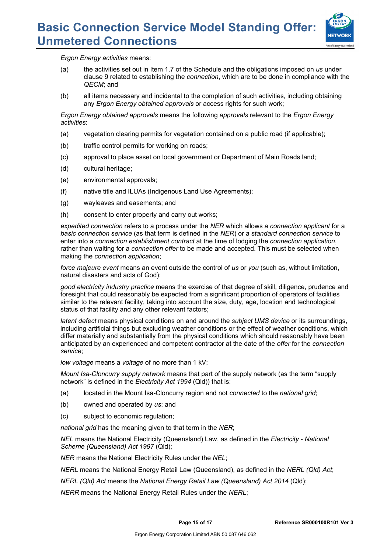

*Ergon Energy activities* means:

- (a) the activities set out in Item 1.7 of the Schedule and the obligations imposed on *us* under clause 9 related to establishing the *connection*, which are to be done in compliance with the *QECM*; and
- (b) all items necessary and incidental to the completion of such activities, including obtaining any *Ergon Energy obtained approvals* or access rights for such work;

*Ergon Energy obtained approvals* means the following *approvals* relevant to the *Ergon Energy activities*:

- (a) vegetation clearing permits for vegetation contained on a public road (if applicable);
- (b) traffic control permits for working on roads;
- (c) approval to place asset on local government or Department of Main Roads land;
- (d) cultural heritage;
- (e) environmental approvals;
- (f) native title and ILUAs (Indigenous Land Use Agreements);
- (g) wayleaves and easements; and
- (h) consent to enter property and carry out works;

*expedited connection* refers to a process under the *NER* which allows a *connection applicant* for a *basic connection service* (as that term is defined in the *NER*) or a *standard connection service* to enter into a *connection establishment contract* at the time of lodging the *connection application*, rather than waiting for a *connection offer* to be made and accepted. This must be selected when making the *connection application*;

*force majeure event* means an event outside the control of *us* or *you* (such as, without limitation, natural disasters and acts of God);

*good electricity industry practice* means the exercise of that degree of skill, diligence, prudence and foresight that could reasonably be expected from a significant proportion of operators of facilities similar to the relevant facility, taking into account the size, duty, age, location and technological status of that facility and any other relevant factors;

*latent defect* means physical conditions on and around the *subject UMS device* or its surroundings, including artificial things but excluding weather conditions or the effect of weather conditions, which differ materially and substantially from the physical conditions which should reasonably have been anticipated by an experienced and competent contractor at the date of the *offer* for the *connection service*;

*low voltage* means a *voltage* of no more than 1 kV;

*Mount Isa-Cloncurry supply network* means that part of the supply network (as the term "supply network" is defined in the *Electricity Act 1994* (Qld)) that is:

- (a) located in the Mount Isa-Cloncurry region and not *connected* to the *national grid*;
- (b) owned and operated by *us*; and
- (c) subject to economic regulation;

*national grid* has the meaning given to that term in the *NER*;

*NEL* means the National Electricity (Queensland) Law, as defined in the *Electricity - National Scheme (Queensland) Act 1997* (Qld);

*NER* means the National Electricity Rules under the *NEL*;

*NERL* means the National Energy Retail Law (Queensland), as defined in the *NERL (Qld) Act*;

*NERL (Qld) Act* means the *National Energy Retail Law (Queensland) Act 2014* (Qld);

*NERR* means the National Energy Retail Rules under the *NERL*;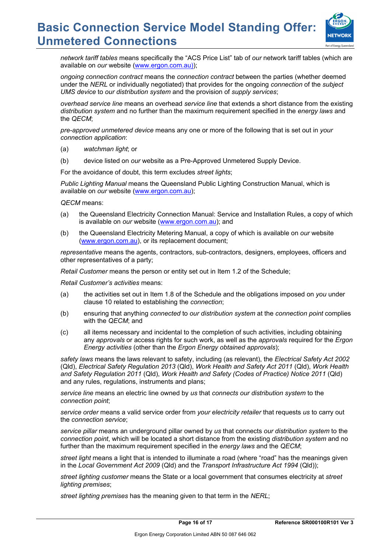

*network tariff tables* means specifically the "ACS Price List" tab of *our* network tariff tables (which are available on *our* website (www.ergon.com.au));

*ongoing connection contract* means the *connection contract* between the parties (whether deemed under the *NERL* or individually negotiated) that provides for the ongoing *connection* of the *subject UMS device* to *our distribution system* and the provision of *supply services*;

*overhead service line* means an overhead *service line* that extends a short distance from the existing *distribution system* and no further than the maximum requirement specified in the *energy laws* and the *QECM*;

*pre-approved unmetered device* means any one or more of the following that is set out in *your connection application*:

- (a) *watchman light*; or
- (b) device listed on *our* website as a Pre-Approved Unmetered Supply Device.

For the avoidance of doubt, this term excludes *street lights*;

*Public Lighting Manual* means the Queensland Public Lighting Construction Manual, which is available on *our* website (www.ergon.com.au);

*QECM* means:

- (a) the Queensland Electricity Connection Manual: Service and Installation Rules, a copy of which is available on *our* website (www.ergon.com.au); and
- (b) the Queensland Electricity Metering Manual, a copy of which is available on *our* website (www.ergon.com.au), or its replacement document;

*representative* means the agents, contractors, sub-contractors, designers, employees, officers and other representatives of a party;

*Retail Customer* means the person or entity set out in Item 1.2 of the Schedule;

*Retail Customer's activities* means:

- (a) the activities set out in Item 1.8 of the Schedule and the obligations imposed on *you* under clause 10 related to establishing the *connection*;
- (b) ensuring that anything *connected* to *our distribution system* at the *connection point* complies with the *QECM*; and
- (c) all items necessary and incidental to the completion of such activities, including obtaining any *approvals* or access rights for such work, as well as the *approvals* required for the *Ergon Energy activities* (other than the *Ergon Energy obtained approvals*);

*safety laws* means the laws relevant to safety, including (as relevant), the *Electrical Safety Act 2002*  (Qld), *Electrical Safety Regulation 2013* (Qld), *Work Health and Safety Act 2011* (Qld), *Work Health and Safety Regulation 2011* (Qld), *Work Health and Safety (Codes of Practice) Notice 2011* (Qld) and any rules, regulations, instruments and plans;

*service line* means an electric line owned by *us* that *connects our distribution system* to the *connection point*;

*service order* means a valid service order from *your electricity retailer* that requests *us* to carry out the *connection service*;

*service pillar* means an underground pillar owned by *us* that connects *our distribution system* to the *connection point*, which will be located a short distance from the existing *distribution system* and no further than the maximum requirement specified in the *energy laws* and the *QECM*;

*street light* means a light that is intended to illuminate a road (where "road" has the meanings given in the *Local Government Act 2009* (Qld) and the *Transport Infrastructure Act 1994* (Qld));

*street lighting customer* means the State or a local government that consumes electricity at *street lighting premises*;

*street lighting premises* has the meaning given to that term in the *NERL*;